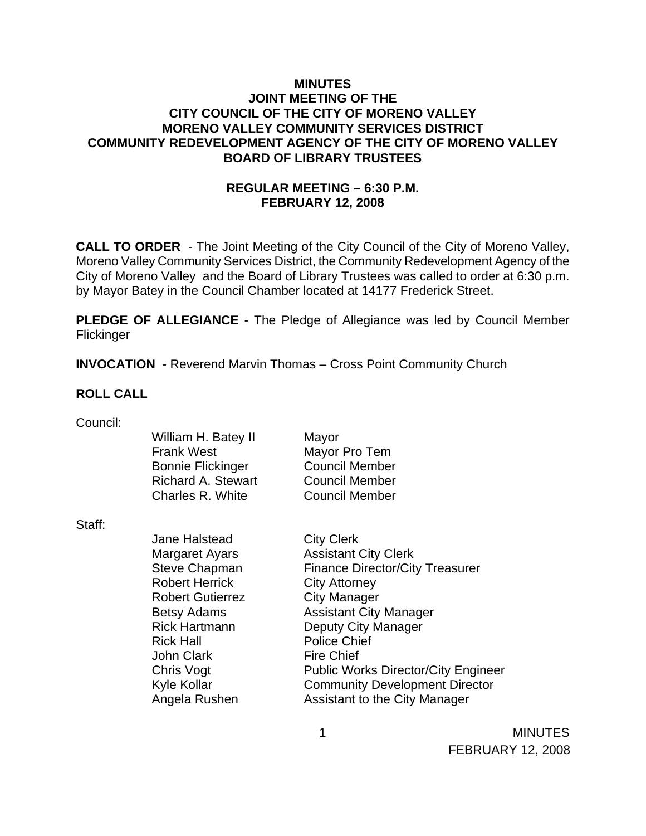### **MINUTES JOINT MEETING OF THE CITY COUNCIL OF THE CITY OF MORENO VALLEY MORENO VALLEY COMMUNITY SERVICES DISTRICT COMMUNITY REDEVELOPMENT AGENCY OF THE CITY OF MORENO VALLEY BOARD OF LIBRARY TRUSTEES**

# **REGULAR MEETING – 6:30 P.M. FEBRUARY 12, 2008**

**CALL TO ORDER** - The Joint Meeting of the City Council of the City of Moreno Valley, Moreno Valley Community Services District, the Community Redevelopment Agency of the City of Moreno Valley and the Board of Library Trustees was called to order at 6:30 p.m. by Mayor Batey in the Council Chamber located at 14177 Frederick Street.

**PLEDGE OF ALLEGIANCE** - The Pledge of Allegiance was led by Council Member Flickinger

**INVOCATION** - Reverend Marvin Thomas – Cross Point Community Church

#### **ROLL CALL**

| Council: |  |
|----------|--|
|          |  |

Staff:

Jane Halstead City Clerk Robert Herrick City Attorney Robert Gutierrez **City Manager** Rick Hall **Police Chief** John Clark Fire Chief

Margaret Ayars **Assistant City Clerk** Steve Chapman Finance Director/City Treasurer Betsy Adams **Assistant City Manager** Rick Hartmann Deputy City Manager Chris Vogt Public Works Director/City Engineer Kyle Kollar **Community Development Director** Angela Rushen Assistant to the City Manager

> MINUTES FEBRUARY 12, 2008

1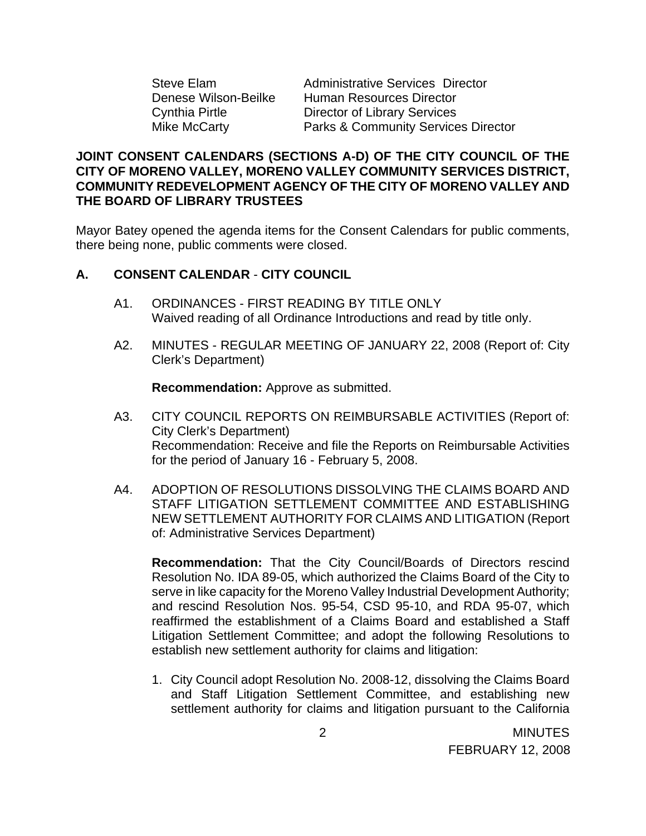Steve Elam Administrative Services Director Denese Wilson-Beilke Human Resources Director Cynthia Pirtle Director of Library Services Mike McCarty **Parks & Community Services Director** 

### **JOINT CONSENT CALENDARS (SECTIONS A-D) OF THE CITY COUNCIL OF THE CITY OF MORENO VALLEY, MORENO VALLEY COMMUNITY SERVICES DISTRICT, COMMUNITY REDEVELOPMENT AGENCY OF THE CITY OF MORENO VALLEY AND THE BOARD OF LIBRARY TRUSTEES**

Mayor Batey opened the agenda items for the Consent Calendars for public comments, there being none, public comments were closed.

### **A. CONSENT CALENDAR** - **CITY COUNCIL**

- A1. ORDINANCES FIRST READING BY TITLE ONLY Waived reading of all Ordinance Introductions and read by title only.
- A2. MINUTES REGULAR MEETING OF JANUARY 22, 2008 (Report of: City Clerk's Department)

**Recommendation:** Approve as submitted.

- A3. CITY COUNCIL REPORTS ON REIMBURSABLE ACTIVITIES (Report of: City Clerk's Department) Recommendation: Receive and file the Reports on Reimbursable Activities for the period of January 16 - February 5, 2008.
- A4. ADOPTION OF RESOLUTIONS DISSOLVING THE CLAIMS BOARD AND STAFF LITIGATION SETTLEMENT COMMITTEE AND ESTABLISHING NEW SETTLEMENT AUTHORITY FOR CLAIMS AND LITIGATION (Report of: Administrative Services Department)

**Recommendation:** That the City Council/Boards of Directors rescind Resolution No. IDA 89-05, which authorized the Claims Board of the City to serve in like capacity for the Moreno Valley Industrial Development Authority; and rescind Resolution Nos. 95-54, CSD 95-10, and RDA 95-07, which reaffirmed the establishment of a Claims Board and established a Staff Litigation Settlement Committee; and adopt the following Resolutions to establish new settlement authority for claims and litigation:

1. City Council adopt Resolution No. 2008-12, dissolving the Claims Board and Staff Litigation Settlement Committee, and establishing new settlement authority for claims and litigation pursuant to the California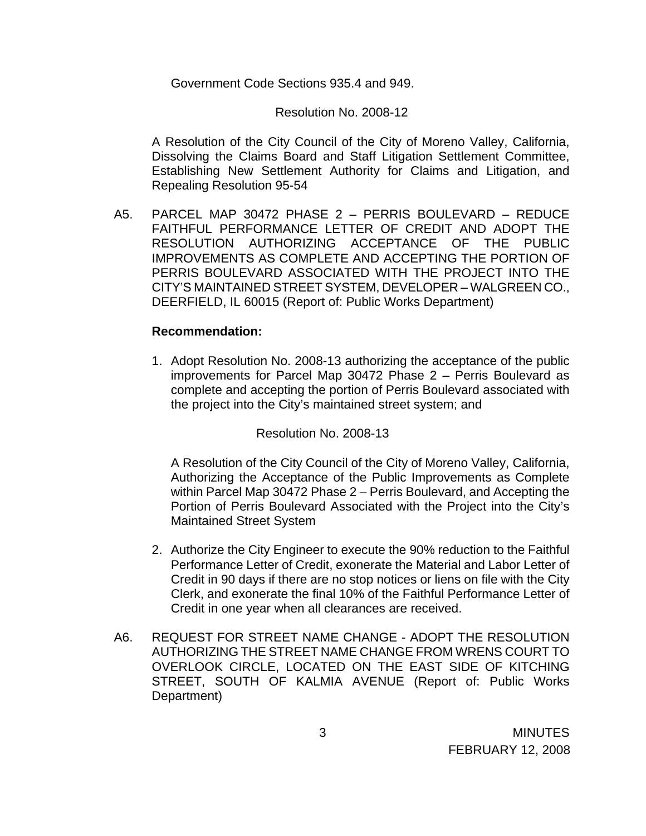Government Code Sections 935.4 and 949.

#### Resolution No. 2008-12

A Resolution of the City Council of the City of Moreno Valley, California, Dissolving the Claims Board and Staff Litigation Settlement Committee, Establishing New Settlement Authority for Claims and Litigation, and Repealing Resolution 95-54

A5. PARCEL MAP 30472 PHASE 2 – PERRIS BOULEVARD – REDUCE FAITHFUL PERFORMANCE LETTER OF CREDIT AND ADOPT THE RESOLUTION AUTHORIZING ACCEPTANCE OF THE PUBLIC IMPROVEMENTS AS COMPLETE AND ACCEPTING THE PORTION OF PERRIS BOULEVARD ASSOCIATED WITH THE PROJECT INTO THE CITY'S MAINTAINED STREET SYSTEM, DEVELOPER – WALGREEN CO., DEERFIELD, IL 60015 (Report of: Public Works Department)

#### **Recommendation:**

1. Adopt Resolution No. 2008-13 authorizing the acceptance of the public improvements for Parcel Map 30472 Phase 2 – Perris Boulevard as complete and accepting the portion of Perris Boulevard associated with the project into the City's maintained street system; and

Resolution No. 2008-13

A Resolution of the City Council of the City of Moreno Valley, California, Authorizing the Acceptance of the Public Improvements as Complete within Parcel Map 30472 Phase 2 – Perris Boulevard, and Accepting the Portion of Perris Boulevard Associated with the Project into the City's Maintained Street System

- 2. Authorize the City Engineer to execute the 90% reduction to the Faithful Performance Letter of Credit, exonerate the Material and Labor Letter of Credit in 90 days if there are no stop notices or liens on file with the City Clerk, and exonerate the final 10% of the Faithful Performance Letter of Credit in one year when all clearances are received.
- A6. REQUEST FOR STREET NAME CHANGE ADOPT THE RESOLUTION AUTHORIZING THE STREET NAME CHANGE FROM WRENS COURT TO OVERLOOK CIRCLE, LOCATED ON THE EAST SIDE OF KITCHING STREET, SOUTH OF KALMIA AVENUE (Report of: Public Works Department)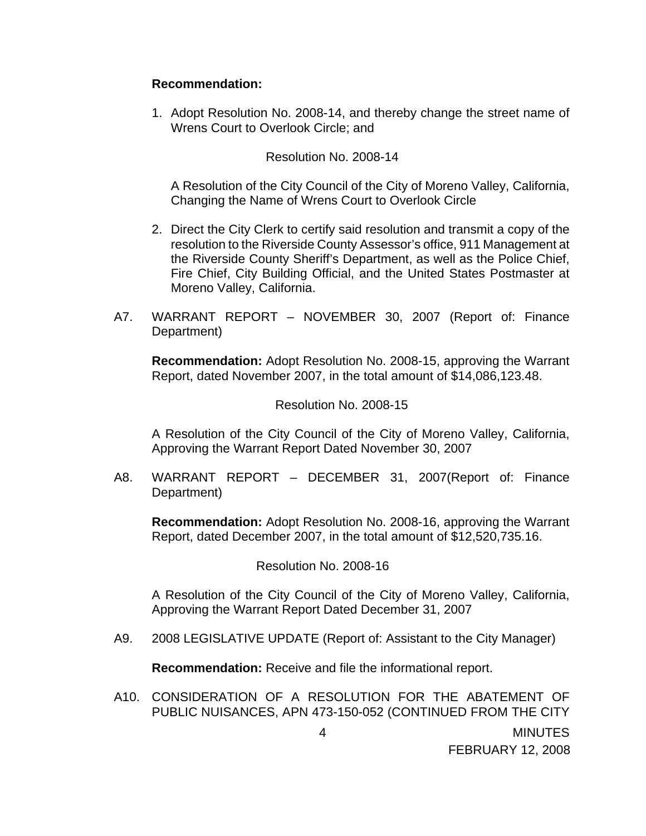#### **Recommendation:**

1. Adopt Resolution No. 2008-14, and thereby change the street name of Wrens Court to Overlook Circle; and

#### Resolution No. 2008-14

A Resolution of the City Council of the City of Moreno Valley, California, Changing the Name of Wrens Court to Overlook Circle

- 2. Direct the City Clerk to certify said resolution and transmit a copy of the resolution to the Riverside County Assessor's office, 911 Management at the Riverside County Sheriff's Department, as well as the Police Chief, Fire Chief, City Building Official, and the United States Postmaster at Moreno Valley, California.
- A7. WARRANT REPORT NOVEMBER 30, 2007 (Report of: Finance Department)

**Recommendation:** Adopt Resolution No. 2008-15, approving the Warrant Report, dated November 2007, in the total amount of \$14,086,123.48.

#### Resolution No. 2008-15

A Resolution of the City Council of the City of Moreno Valley, California, Approving the Warrant Report Dated November 30, 2007

A8. WARRANT REPORT – DECEMBER 31, 2007(Report of: Finance Department)

 **Recommendation:** Adopt Resolution No. 2008-16, approving the Warrant Report, dated December 2007, in the total amount of \$12,520,735.16.

#### Resolution No. 2008-16

A Resolution of the City Council of the City of Moreno Valley, California, Approving the Warrant Report Dated December 31, 2007

A9. 2008 LEGISLATIVE UPDATE (Report of: Assistant to the City Manager)

**Recommendation:** Receive and file the informational report.

A10. CONSIDERATION OF A RESOLUTION FOR THE ABATEMENT OF PUBLIC NUISANCES, APN 473-150-052 (CONTINUED FROM THE CITY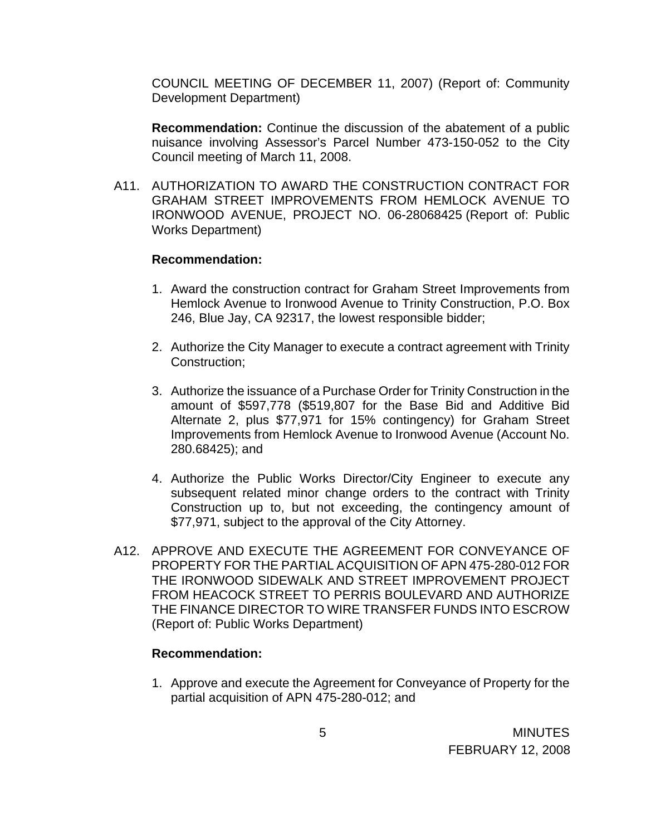COUNCIL MEETING OF DECEMBER 11, 2007) (Report of: Community Development Department)

 **Recommendation:** Continue the discussion of the abatement of a public nuisance involving Assessor's Parcel Number 473-150-052 to the City Council meeting of March 11, 2008.

A11. AUTHORIZATION TO AWARD THE CONSTRUCTION CONTRACT FOR GRAHAM STREET IMPROVEMENTS FROM HEMLOCK AVENUE TO IRONWOOD AVENUE, PROJECT NO. 06-28068425 (Report of: Public Works Department)

#### **Recommendation:**

- 1. Award the construction contract for Graham Street Improvements from Hemlock Avenue to Ironwood Avenue to Trinity Construction, P.O. Box 246, Blue Jay, CA 92317, the lowest responsible bidder;
- 2. Authorize the City Manager to execute a contract agreement with Trinity Construction;
- 3. Authorize the issuance of a Purchase Order for Trinity Construction in the amount of \$597,778 (\$519,807 for the Base Bid and Additive Bid Alternate 2, plus \$77,971 for 15% contingency) for Graham Street Improvements from Hemlock Avenue to Ironwood Avenue (Account No. 280.68425); and
- 4. Authorize the Public Works Director/City Engineer to execute any subsequent related minor change orders to the contract with Trinity Construction up to, but not exceeding, the contingency amount of \$77,971, subject to the approval of the City Attorney.
- A12. APPROVE AND EXECUTE THE AGREEMENT FOR CONVEYANCE OF PROPERTY FOR THE PARTIAL ACQUISITION OF APN 475-280-012 FOR THE IRONWOOD SIDEWALK AND STREET IMPROVEMENT PROJECT FROM HEACOCK STREET TO PERRIS BOULEVARD AND AUTHORIZE THE FINANCE DIRECTOR TO WIRE TRANSFER FUNDS INTO ESCROW (Report of: Public Works Department)

#### **Recommendation:**

1. Approve and execute the Agreement for Conveyance of Property for the partial acquisition of APN 475-280-012; and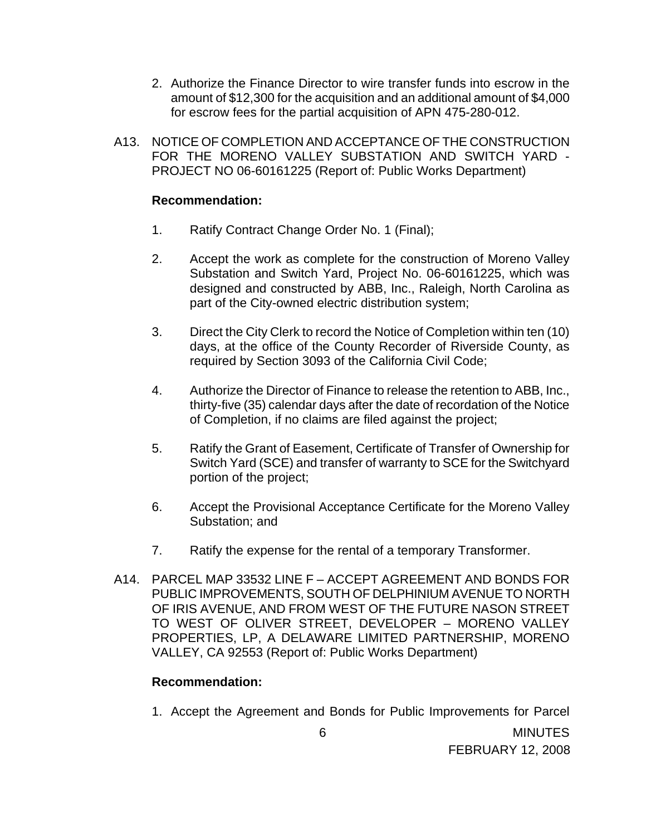- 2. Authorize the Finance Director to wire transfer funds into escrow in the amount of \$12,300 for the acquisition and an additional amount of \$4,000 for escrow fees for the partial acquisition of APN 475-280-012.
- A13. NOTICE OF COMPLETION AND ACCEPTANCE OF THE CONSTRUCTION FOR THE MORENO VALLEY SUBSTATION AND SWITCH YARD - PROJECT NO 06-60161225 (Report of: Public Works Department)

### **Recommendation:**

- 1. Ratify Contract Change Order No. 1 (Final);
- 2. Accept the work as complete for the construction of Moreno Valley Substation and Switch Yard, Project No. 06-60161225, which was designed and constructed by ABB, Inc., Raleigh, North Carolina as part of the City-owned electric distribution system;
- 3. Direct the City Clerk to record the Notice of Completion within ten (10) days, at the office of the County Recorder of Riverside County, as required by Section 3093 of the California Civil Code;
- 4. Authorize the Director of Finance to release the retention to ABB, Inc., thirty-five (35) calendar days after the date of recordation of the Notice of Completion, if no claims are filed against the project;
- 5. Ratify the Grant of Easement, Certificate of Transfer of Ownership for Switch Yard (SCE) and transfer of warranty to SCE for the Switchyard portion of the project;
- 6. Accept the Provisional Acceptance Certificate for the Moreno Valley Substation; and
- 7. Ratify the expense for the rental of a temporary Transformer.
- A14. PARCEL MAP 33532 LINE F ACCEPT AGREEMENT AND BONDS FOR PUBLIC IMPROVEMENTS, SOUTH OF DELPHINIUM AVENUE TO NORTH OF IRIS AVENUE, AND FROM WEST OF THE FUTURE NASON STREET TO WEST OF OLIVER STREET, DEVELOPER – MORENO VALLEY PROPERTIES, LP, A DELAWARE LIMITED PARTNERSHIP, MORENO VALLEY, CA 92553 (Report of: Public Works Department)

#### **Recommendation:**

1. Accept the Agreement and Bonds for Public Improvements for Parcel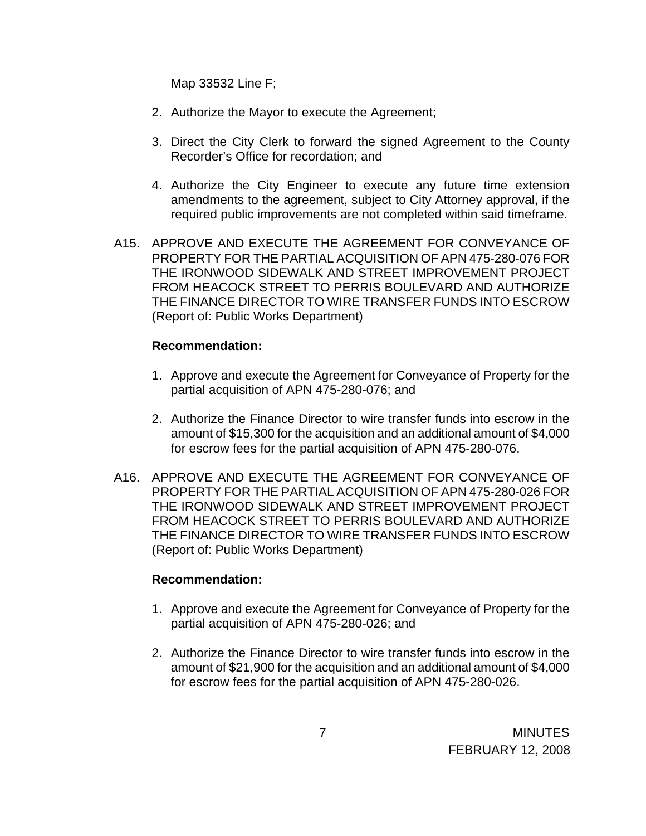Map 33532 Line F;

- 2. Authorize the Mayor to execute the Agreement;
- 3. Direct the City Clerk to forward the signed Agreement to the County Recorder's Office for recordation; and
- 4. Authorize the City Engineer to execute any future time extension amendments to the agreement, subject to City Attorney approval, if the required public improvements are not completed within said timeframe.
- A15. APPROVE AND EXECUTE THE AGREEMENT FOR CONVEYANCE OF PROPERTY FOR THE PARTIAL ACQUISITION OF APN 475-280-076 FOR THE IRONWOOD SIDEWALK AND STREET IMPROVEMENT PROJECT FROM HEACOCK STREET TO PERRIS BOULEVARD AND AUTHORIZE THE FINANCE DIRECTOR TO WIRE TRANSFER FUNDS INTO ESCROW (Report of: Public Works Department)

#### **Recommendation:**

- 1. Approve and execute the Agreement for Conveyance of Property for the partial acquisition of APN 475-280-076; and
- 2. Authorize the Finance Director to wire transfer funds into escrow in the amount of \$15,300 for the acquisition and an additional amount of \$4,000 for escrow fees for the partial acquisition of APN 475-280-076.
- A16. APPROVE AND EXECUTE THE AGREEMENT FOR CONVEYANCE OF PROPERTY FOR THE PARTIAL ACQUISITION OF APN 475-280-026 FOR THE IRONWOOD SIDEWALK AND STREET IMPROVEMENT PROJECT FROM HEACOCK STREET TO PERRIS BOULEVARD AND AUTHORIZE THE FINANCE DIRECTOR TO WIRE TRANSFER FUNDS INTO ESCROW (Report of: Public Works Department)

#### **Recommendation:**

- 1. Approve and execute the Agreement for Conveyance of Property for the partial acquisition of APN 475-280-026; and
- 2. Authorize the Finance Director to wire transfer funds into escrow in the amount of \$21,900 for the acquisition and an additional amount of \$4,000 for escrow fees for the partial acquisition of APN 475-280-026.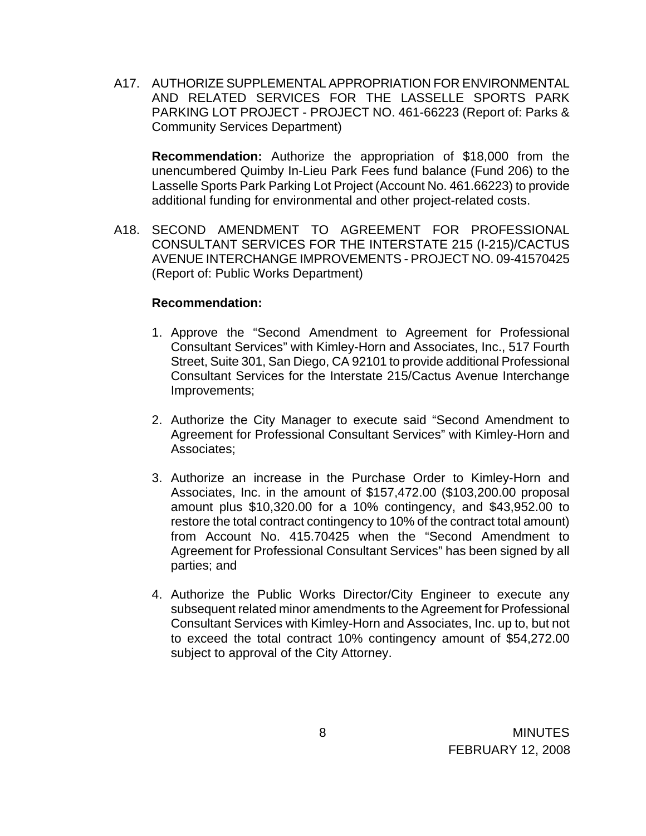A17. AUTHORIZE SUPPLEMENTAL APPROPRIATION FOR ENVIRONMENTAL AND RELATED SERVICES FOR THE LASSELLE SPORTS PARK PARKING LOT PROJECT - PROJECT NO. 461-66223 (Report of: Parks & Community Services Department)

**Recommendation:** Authorize the appropriation of \$18,000 from the unencumbered Quimby In-Lieu Park Fees fund balance (Fund 206) to the Lasselle Sports Park Parking Lot Project (Account No. 461.66223) to provide additional funding for environmental and other project-related costs.

A18. SECOND AMENDMENT TO AGREEMENT FOR PROFESSIONAL CONSULTANT SERVICES FOR THE INTERSTATE 215 (I-215)/CACTUS AVENUE INTERCHANGE IMPROVEMENTS - PROJECT NO. 09-41570425 (Report of: Public Works Department)

#### **Recommendation:**

- 1. Approve the "Second Amendment to Agreement for Professional Consultant Services" with Kimley-Horn and Associates, Inc., 517 Fourth Street, Suite 301, San Diego, CA 92101 to provide additional Professional Consultant Services for the Interstate 215/Cactus Avenue Interchange Improvements;
- 2. Authorize the City Manager to execute said "Second Amendment to Agreement for Professional Consultant Services" with Kimley-Horn and Associates;
- 3. Authorize an increase in the Purchase Order to Kimley-Horn and Associates, Inc. in the amount of \$157,472.00 (\$103,200.00 proposal amount plus \$10,320.00 for a 10% contingency, and \$43,952.00 to restore the total contract contingency to 10% of the contract total amount) from Account No. 415.70425 when the "Second Amendment to Agreement for Professional Consultant Services" has been signed by all parties; and
- 4. Authorize the Public Works Director/City Engineer to execute any subsequent related minor amendments to the Agreement for Professional Consultant Services with Kimley-Horn and Associates, Inc. up to, but not to exceed the total contract 10% contingency amount of \$54,272.00 subject to approval of the City Attorney.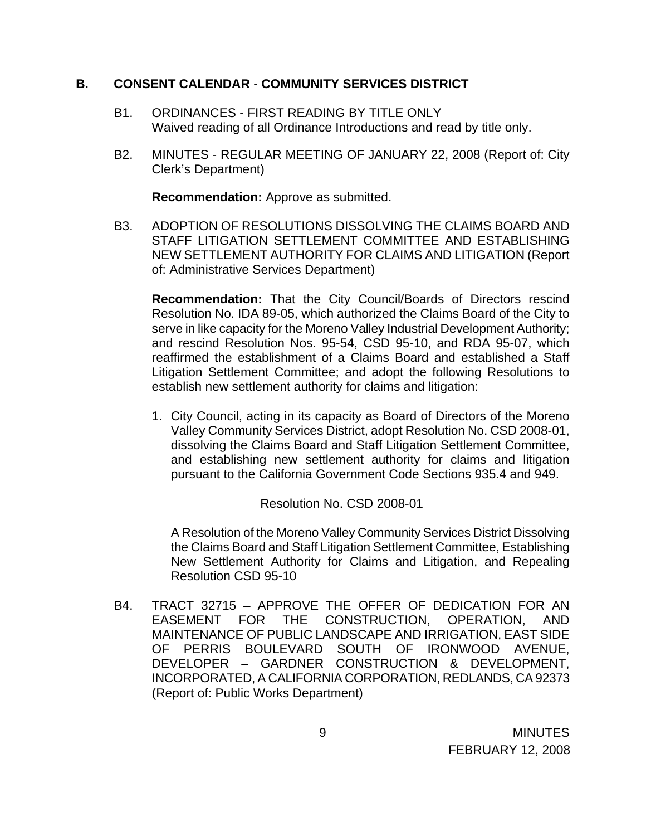#### **B. CONSENT CALENDAR** - **COMMUNITY SERVICES DISTRICT**

- B1. ORDINANCES FIRST READING BY TITLE ONLY Waived reading of all Ordinance Introductions and read by title only.
- B2. MINUTES REGULAR MEETING OF JANUARY 22, 2008 (Report of: City Clerk's Department)

**Recommendation:** Approve as submitted.

B3. ADOPTION OF RESOLUTIONS DISSOLVING THE CLAIMS BOARD AND STAFF LITIGATION SETTLEMENT COMMITTEE AND ESTABLISHING NEW SETTLEMENT AUTHORITY FOR CLAIMS AND LITIGATION (Report of: Administrative Services Department)

**Recommendation:** That the City Council/Boards of Directors rescind Resolution No. IDA 89-05, which authorized the Claims Board of the City to serve in like capacity for the Moreno Valley Industrial Development Authority; and rescind Resolution Nos. 95-54, CSD 95-10, and RDA 95-07, which reaffirmed the establishment of a Claims Board and established a Staff Litigation Settlement Committee; and adopt the following Resolutions to establish new settlement authority for claims and litigation:

1. City Council, acting in its capacity as Board of Directors of the Moreno Valley Community Services District, adopt Resolution No. CSD 2008-01, dissolving the Claims Board and Staff Litigation Settlement Committee, and establishing new settlement authority for claims and litigation pursuant to the California Government Code Sections 935.4 and 949.

Resolution No. CSD 2008-01

A Resolution of the Moreno Valley Community Services District Dissolving the Claims Board and Staff Litigation Settlement Committee, Establishing New Settlement Authority for Claims and Litigation, and Repealing Resolution CSD 95-10

B4. TRACT 32715 – APPROVE THE OFFER OF DEDICATION FOR AN EASEMENT FOR THE CONSTRUCTION, OPERATION, AND MAINTENANCE OF PUBLIC LANDSCAPE AND IRRIGATION, EAST SIDE OF PERRIS BOULEVARD SOUTH OF IRONWOOD AVENUE, DEVELOPER – GARDNER CONSTRUCTION & DEVELOPMENT, INCORPORATED, A CALIFORNIA CORPORATION, REDLANDS, CA 92373 (Report of: Public Works Department)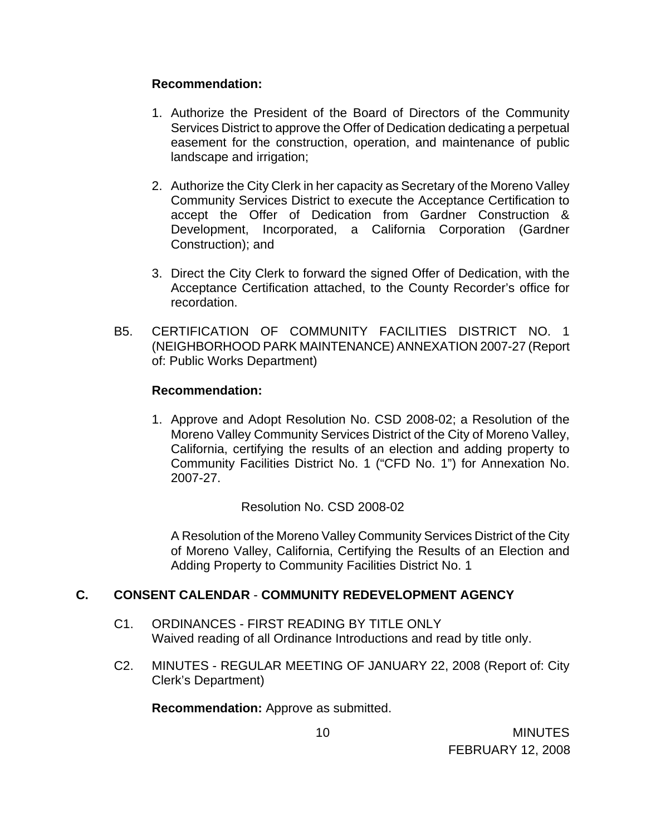#### **Recommendation:**

- 1. Authorize the President of the Board of Directors of the Community Services District to approve the Offer of Dedication dedicating a perpetual easement for the construction, operation, and maintenance of public landscape and irrigation;
- 2. Authorize the City Clerk in her capacity as Secretary of the Moreno Valley Community Services District to execute the Acceptance Certification to accept the Offer of Dedication from Gardner Construction & Development, Incorporated, a California Corporation (Gardner Construction); and
- 3. Direct the City Clerk to forward the signed Offer of Dedication, with the Acceptance Certification attached, to the County Recorder's office for recordation.
- B5. CERTIFICATION OF COMMUNITY FACILITIES DISTRICT NO. 1 (NEIGHBORHOOD PARK MAINTENANCE) ANNEXATION 2007-27 (Report of: Public Works Department)

### **Recommendation:**

1. Approve and Adopt Resolution No. CSD 2008-02; a Resolution of the Moreno Valley Community Services District of the City of Moreno Valley, California, certifying the results of an election and adding property to Community Facilities District No. 1 ("CFD No. 1") for Annexation No. 2007-27.

Resolution No. CSD 2008-02

A Resolution of the Moreno Valley Community Services District of the City of Moreno Valley, California, Certifying the Results of an Election and Adding Property to Community Facilities District No. 1

#### **C. CONSENT CALENDAR** - **COMMUNITY REDEVELOPMENT AGENCY**

- C1. ORDINANCES FIRST READING BY TITLE ONLY Waived reading of all Ordinance Introductions and read by title only.
- C2. MINUTES REGULAR MEETING OF JANUARY 22, 2008 (Report of: City Clerk's Department)

**Recommendation:** Approve as submitted.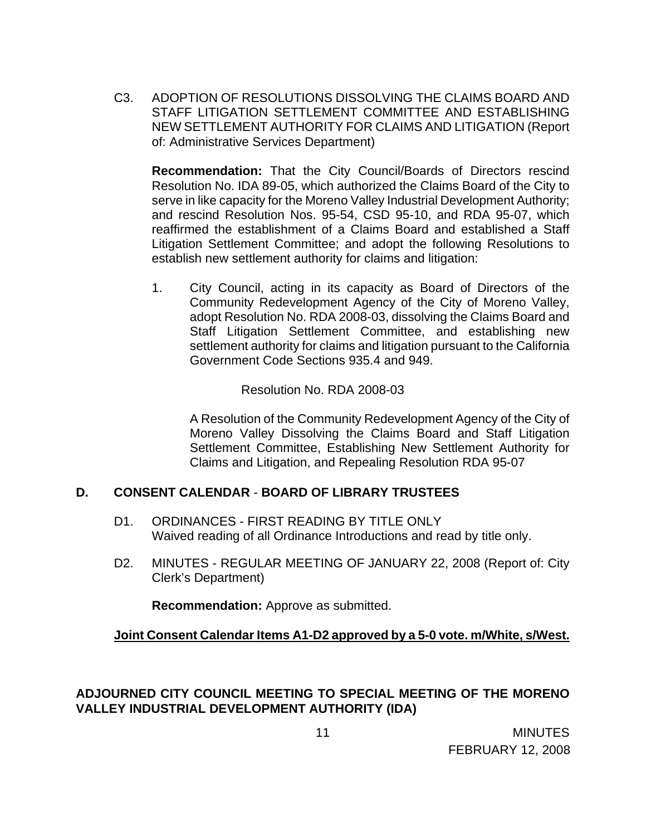C3. ADOPTION OF RESOLUTIONS DISSOLVING THE CLAIMS BOARD AND STAFF LITIGATION SETTLEMENT COMMITTEE AND ESTABLISHING NEW SETTLEMENT AUTHORITY FOR CLAIMS AND LITIGATION (Report of: Administrative Services Department)

**Recommendation:** That the City Council/Boards of Directors rescind Resolution No. IDA 89-05, which authorized the Claims Board of the City to serve in like capacity for the Moreno Valley Industrial Development Authority; and rescind Resolution Nos. 95-54, CSD 95-10, and RDA 95-07, which reaffirmed the establishment of a Claims Board and established a Staff Litigation Settlement Committee; and adopt the following Resolutions to establish new settlement authority for claims and litigation:

1. City Council, acting in its capacity as Board of Directors of the Community Redevelopment Agency of the City of Moreno Valley, adopt Resolution No. RDA 2008-03, dissolving the Claims Board and Staff Litigation Settlement Committee, and establishing new settlement authority for claims and litigation pursuant to the California Government Code Sections 935.4 and 949.

Resolution No. RDA 2008-03

A Resolution of the Community Redevelopment Agency of the City of Moreno Valley Dissolving the Claims Board and Staff Litigation Settlement Committee, Establishing New Settlement Authority for Claims and Litigation, and Repealing Resolution RDA 95-07

# **D. CONSENT CALENDAR** - **BOARD OF LIBRARY TRUSTEES**

- D1. ORDINANCES FIRST READING BY TITLE ONLY Waived reading of all Ordinance Introductions and read by title only.
- D2. MINUTES REGULAR MEETING OF JANUARY 22, 2008 (Report of: City Clerk's Department)

**Recommendation:** Approve as submitted.

# **Joint Consent Calendar Items A1-D2 approved by a 5-0 vote. m/White, s/West.**

# **ADJOURNED CITY COUNCIL MEETING TO SPECIAL MEETING OF THE MORENO VALLEY INDUSTRIAL DEVELOPMENT AUTHORITY (IDA)**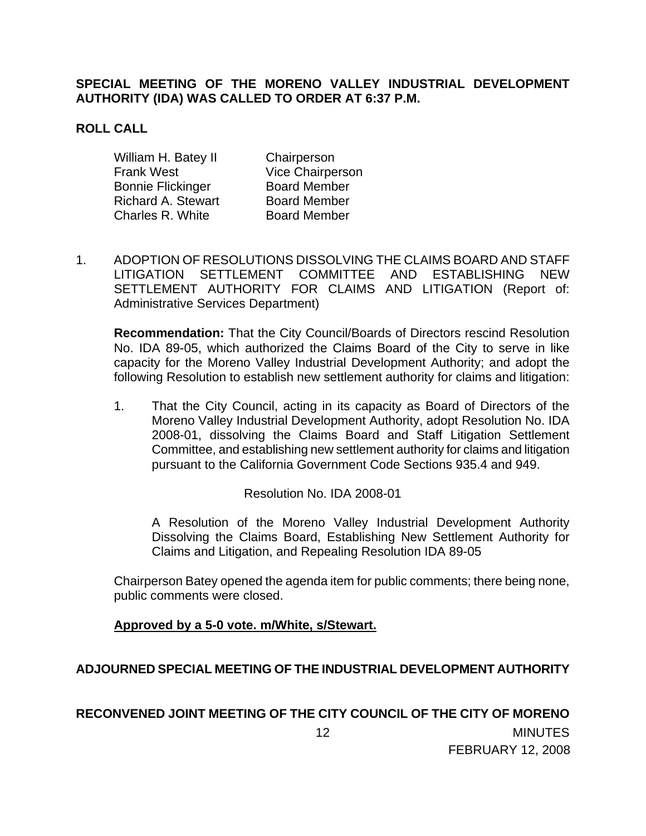### **SPECIAL MEETING OF THE MORENO VALLEY INDUSTRIAL DEVELOPMENT AUTHORITY (IDA) WAS CALLED TO ORDER AT 6:37 P.M.**

### **ROLL CALL**

| William H. Batey II       | Chairperson         |
|---------------------------|---------------------|
| <b>Frank West</b>         | Vice Chairperson    |
| <b>Bonnie Flickinger</b>  | <b>Board Member</b> |
| <b>Richard A. Stewart</b> | <b>Board Member</b> |
| Charles R. White          | <b>Board Member</b> |

1. ADOPTION OF RESOLUTIONS DISSOLVING THE CLAIMS BOARD AND STAFF LITIGATION SETTLEMENT COMMITTEE AND ESTABLISHING NEW SETTLEMENT AUTHORITY FOR CLAIMS AND LITIGATION (Report of: Administrative Services Department)

**Recommendation:** That the City Council/Boards of Directors rescind Resolution No. IDA 89-05, which authorized the Claims Board of the City to serve in like capacity for the Moreno Valley Industrial Development Authority; and adopt the following Resolution to establish new settlement authority for claims and litigation:

1. That the City Council, acting in its capacity as Board of Directors of the Moreno Valley Industrial Development Authority, adopt Resolution No. IDA 2008-01, dissolving the Claims Board and Staff Litigation Settlement Committee, and establishing new settlement authority for claims and litigation pursuant to the California Government Code Sections 935.4 and 949.

Resolution No. IDA 2008-01

 A Resolution of the Moreno Valley Industrial Development Authority Dissolving the Claims Board, Establishing New Settlement Authority for Claims and Litigation, and Repealing Resolution IDA 89-05

Chairperson Batey opened the agenda item for public comments; there being none, public comments were closed.

**Approved by a 5-0 vote. m/White, s/Stewart.**

# **ADJOURNED SPECIAL MEETING OF THE INDUSTRIAL DEVELOPMENT AUTHORITY**

# 12 **RECONVENED JOINT MEETING OF THE CITY COUNCIL OF THE CITY OF MORENO**

**MINUTES**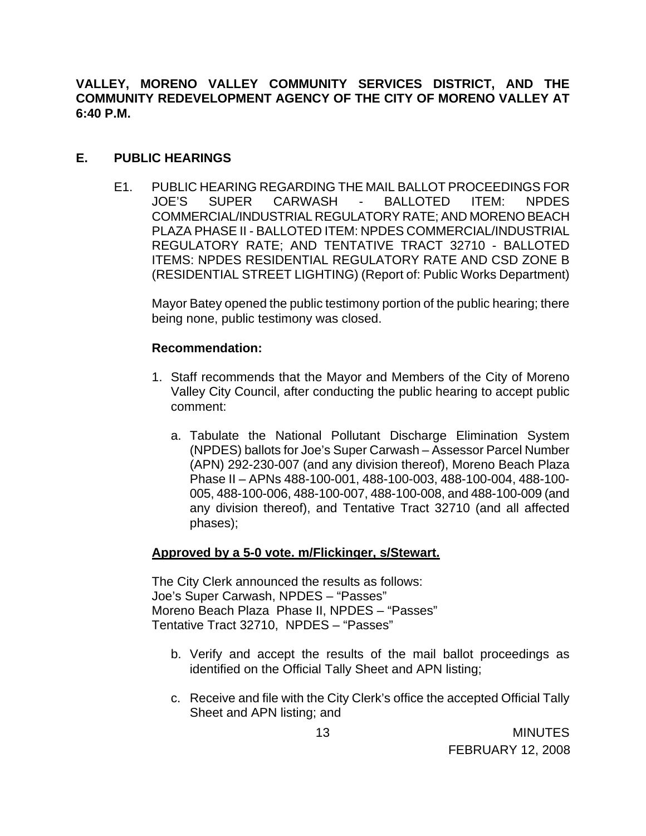**VALLEY, MORENO VALLEY COMMUNITY SERVICES DISTRICT, AND THE COMMUNITY REDEVELOPMENT AGENCY OF THE CITY OF MORENO VALLEY AT 6:40 P.M.**

#### **E. PUBLIC HEARINGS**

E1. PUBLIC HEARING REGARDING THE MAIL BALLOT PROCEEDINGS FOR JOE'S SUPER CARWASH - BALLOTED ITEM: NPDES COMMERCIAL/INDUSTRIAL REGULATORY RATE; AND MORENO BEACH PLAZA PHASE II - BALLOTED ITEM: NPDES COMMERCIAL/INDUSTRIAL REGULATORY RATE; AND TENTATIVE TRACT 32710 - BALLOTED ITEMS: NPDES RESIDENTIAL REGULATORY RATE AND CSD ZONE B (RESIDENTIAL STREET LIGHTING) (Report of: Public Works Department)

Mayor Batey opened the public testimony portion of the public hearing; there being none, public testimony was closed.

### **Recommendation:**

- 1. Staff recommends that the Mayor and Members of the City of Moreno Valley City Council, after conducting the public hearing to accept public comment:
	- a. Tabulate the National Pollutant Discharge Elimination System (NPDES) ballots for Joe's Super Carwash – Assessor Parcel Number (APN) 292-230-007 (and any division thereof), Moreno Beach Plaza Phase II – APNs 488-100-001, 488-100-003, 488-100-004, 488-100- 005, 488-100-006, 488-100-007, 488-100-008, and 488-100-009 (and any division thereof), and Tentative Tract 32710 (and all affected phases);

# **Approved by a 5-0 vote. m/Flickinger, s/Stewart.**

The City Clerk announced the results as follows: Joe's Super Carwash, NPDES – "Passes" Moreno Beach Plaza Phase II, NPDES – "Passes" Tentative Tract 32710, NPDES – "Passes"

- b. Verify and accept the results of the mail ballot proceedings as identified on the Official Tally Sheet and APN listing;
- c. Receive and file with the City Clerk's office the accepted Official Tally Sheet and APN listing; and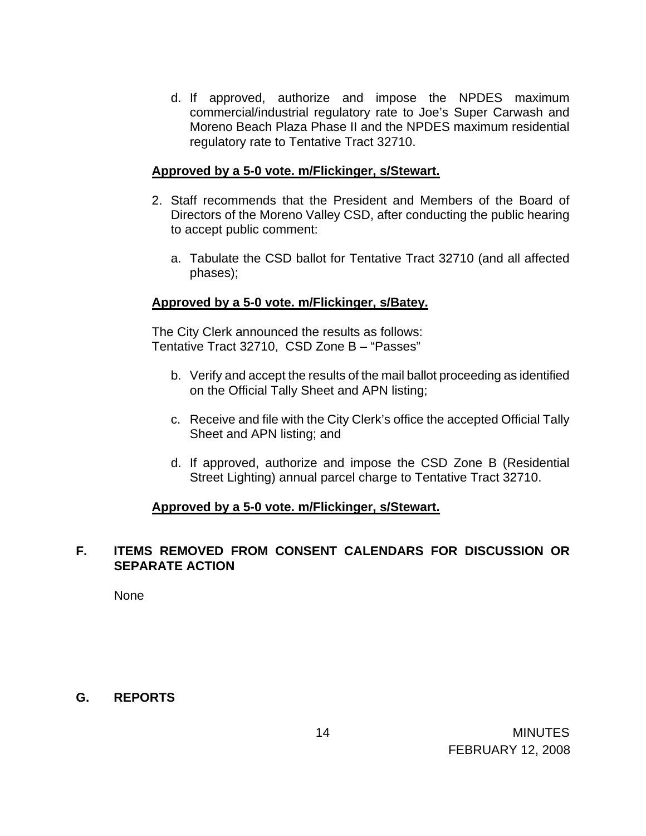d. If approved, authorize and impose the NPDES maximum commercial/industrial regulatory rate to Joe's Super Carwash and Moreno Beach Plaza Phase II and the NPDES maximum residential regulatory rate to Tentative Tract 32710.

#### **Approved by a 5-0 vote. m/Flickinger, s/Stewart.**

- 2. Staff recommends that the President and Members of the Board of Directors of the Moreno Valley CSD, after conducting the public hearing to accept public comment:
	- a. Tabulate the CSD ballot for Tentative Tract 32710 (and all affected phases);

### **Approved by a 5-0 vote. m/Flickinger, s/Batey.**

The City Clerk announced the results as follows: Tentative Tract 32710, CSD Zone B – "Passes"

- b. Verify and accept the results of the mail ballot proceeding as identified on the Official Tally Sheet and APN listing;
- c. Receive and file with the City Clerk's office the accepted Official Tally Sheet and APN listing; and
- d. If approved, authorize and impose the CSD Zone B (Residential Street Lighting) annual parcel charge to Tentative Tract 32710.

#### **Approved by a 5-0 vote. m/Flickinger, s/Stewart.**

### **F. ITEMS REMOVED FROM CONSENT CALENDARS FOR DISCUSSION OR SEPARATE ACTION**

None

#### **G. REPORTS**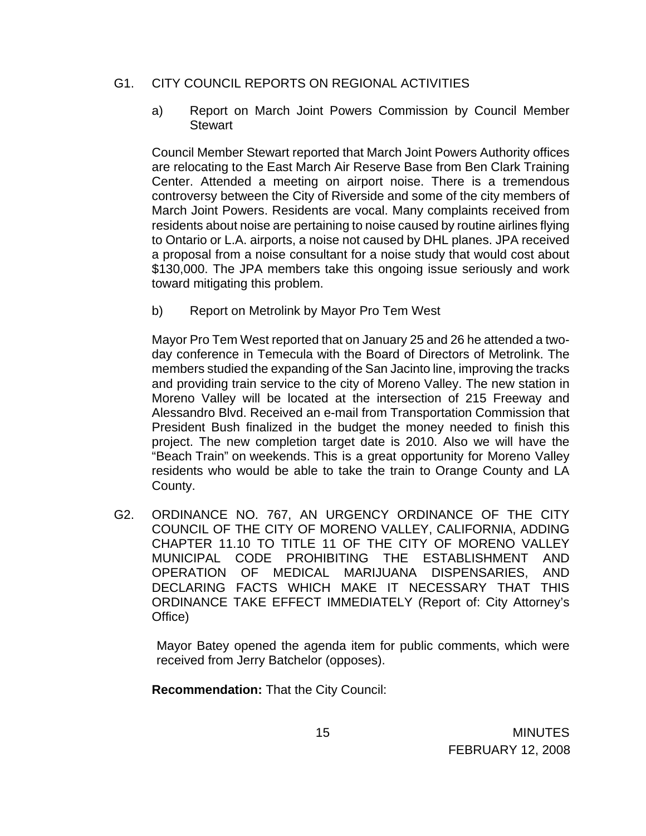### G1. CITY COUNCIL REPORTS ON REGIONAL ACTIVITIES

a) Report on March Joint Powers Commission by Council Member **Stewart** 

 Council Member Stewart reported that March Joint Powers Authority offices are relocating to the East March Air Reserve Base from Ben Clark Training Center. Attended a meeting on airport noise. There is a tremendous controversy between the City of Riverside and some of the city members of March Joint Powers. Residents are vocal. Many complaints received from residents about noise are pertaining to noise caused by routine airlines flying to Ontario or L.A. airports, a noise not caused by DHL planes. JPA received a proposal from a noise consultant for a noise study that would cost about \$130,000. The JPA members take this ongoing issue seriously and work toward mitigating this problem.

b) Report on Metrolink by Mayor Pro Tem West

 Mayor Pro Tem West reported that on January 25 and 26 he attended a twoday conference in Temecula with the Board of Directors of Metrolink. The members studied the expanding of the San Jacinto line, improving the tracks and providing train service to the city of Moreno Valley. The new station in Moreno Valley will be located at the intersection of 215 Freeway and Alessandro Blvd. Received an e-mail from Transportation Commission that President Bush finalized in the budget the money needed to finish this project. The new completion target date is 2010. Also we will have the "Beach Train" on weekends. This is a great opportunity for Moreno Valley residents who would be able to take the train to Orange County and LA County.

G2. ORDINANCE NO. 767, AN URGENCY ORDINANCE OF THE CITY COUNCIL OF THE CITY OF MORENO VALLEY, CALIFORNIA, ADDING CHAPTER 11.10 TO TITLE 11 OF THE CITY OF MORENO VALLEY MUNICIPAL CODE PROHIBITING THE ESTABLISHMENT AND OPERATION OF MEDICAL MARIJUANA DISPENSARIES, AND DECLARING FACTS WHICH MAKE IT NECESSARY THAT THIS ORDINANCE TAKE EFFECT IMMEDIATELY (Report of: City Attorney's Office)

 Mayor Batey opened the agenda item for public comments, which were received from Jerry Batchelor (opposes).

**Recommendation:** That the City Council: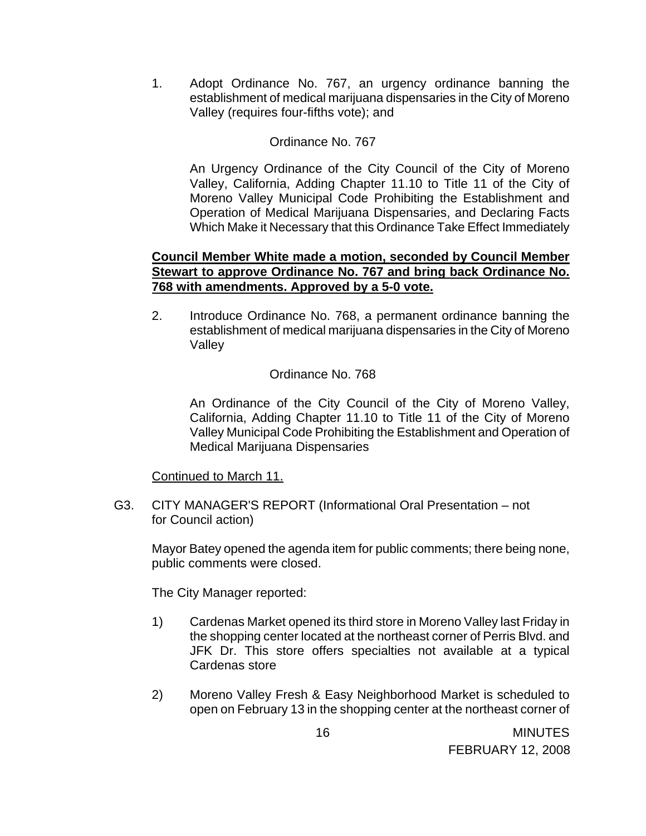1. Adopt Ordinance No. 767, an urgency ordinance banning the establishment of medical marijuana dispensaries in the City of Moreno Valley (requires four-fifths vote); and

### Ordinance No. 767

An Urgency Ordinance of the City Council of the City of Moreno Valley, California, Adding Chapter 11.10 to Title 11 of the City of Moreno Valley Municipal Code Prohibiting the Establishment and Operation of Medical Marijuana Dispensaries, and Declaring Facts Which Make it Necessary that this Ordinance Take Effect Immediately

#### **Council Member White made a motion, seconded by Council Member Stewart to approve Ordinance No. 767 and bring back Ordinance No. 768 with amendments. Approved by a 5-0 vote.**

2. Introduce Ordinance No. 768, a permanent ordinance banning the establishment of medical marijuana dispensaries in the City of Moreno Valley

### Ordinance No. 768

An Ordinance of the City Council of the City of Moreno Valley, California, Adding Chapter 11.10 to Title 11 of the City of Moreno Valley Municipal Code Prohibiting the Establishment and Operation of Medical Marijuana Dispensaries

#### Continued to March 11.

 G3. CITY MANAGER'S REPORT (Informational Oral Presentation – not for Council action)

Mayor Batey opened the agenda item for public comments; there being none, public comments were closed.

The City Manager reported:

- 1) Cardenas Market opened its third store in Moreno Valley last Friday in the shopping center located at the northeast corner of Perris Blvd. and JFK Dr. This store offers specialties not available at a typical Cardenas store
- 2) Moreno Valley Fresh & Easy Neighborhood Market is scheduled to open on February 13 in the shopping center at the northeast corner of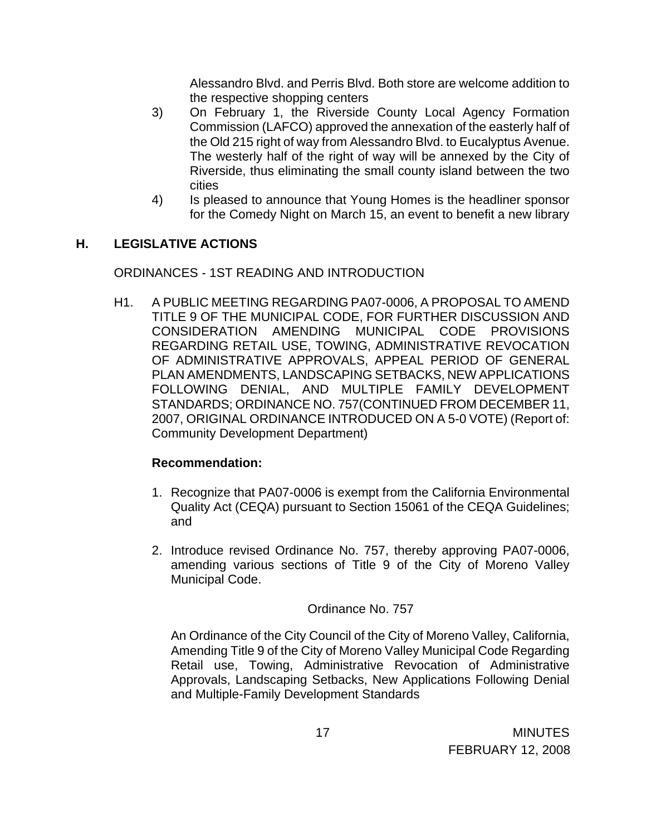Alessandro Blvd. and Perris Blvd. Both store are welcome addition to the respective shopping centers

- 3) On February 1, the Riverside County Local Agency Formation Commission (LAFCO) approved the annexation of the easterly half of the Old 215 right of way from Alessandro Blvd. to Eucalyptus Avenue. The westerly half of the right of way will be annexed by the City of Riverside, thus eliminating the small county island between the two cities
- 4) Is pleased to announce that Young Homes is the headliner sponsor for the Comedy Night on March 15, an event to benefit a new library

# **H. LEGISLATIVE ACTIONS**

ORDINANCES - 1ST READING AND INTRODUCTION

H1. A PUBLIC MEETING REGARDING PA07-0006, A PROPOSAL TO AMEND TITLE 9 OF THE MUNICIPAL CODE, FOR FURTHER DISCUSSION AND CONSIDERATION AMENDING MUNICIPAL CODE PROVISIONS REGARDING RETAIL USE, TOWING, ADMINISTRATIVE REVOCATION OF ADMINISTRATIVE APPROVALS, APPEAL PERIOD OF GENERAL PLAN AMENDMENTS, LANDSCAPING SETBACKS, NEW APPLICATIONS FOLLOWING DENIAL, AND MULTIPLE FAMILY DEVELOPMENT STANDARDS; ORDINANCE NO. 757(CONTINUED FROM DECEMBER 11, 2007, ORIGINAL ORDINANCE INTRODUCED ON A 5-0 VOTE) (Report of: Community Development Department)

# **Recommendation:**

- 1. Recognize that PA07-0006 is exempt from the California Environmental Quality Act (CEQA) pursuant to Section 15061 of the CEQA Guidelines; and
- 2. Introduce revised Ordinance No. 757, thereby approving PA07-0006, amending various sections of Title 9 of the City of Moreno Valley Municipal Code.

# Ordinance No. 757

An Ordinance of the City Council of the City of Moreno Valley, California, Amending Title 9 of the City of Moreno Valley Municipal Code Regarding Retail use, Towing, Administrative Revocation of Administrative Approvals, Landscaping Setbacks, New Applications Following Denial and Multiple-Family Development Standards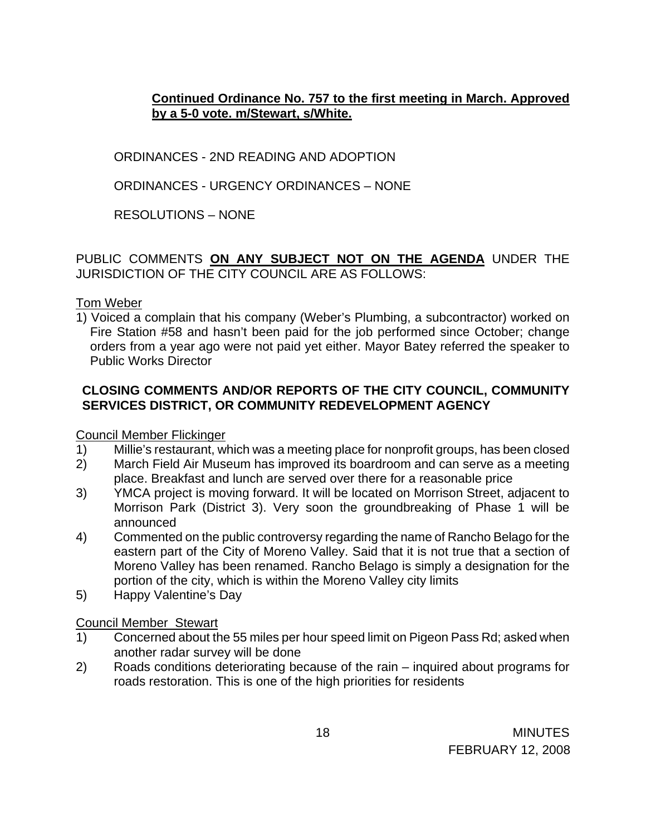**Continued Ordinance No. 757 to the first meeting in March. Approved by a 5-0 vote. m/Stewart, s/White.**

ORDINANCES - 2ND READING AND ADOPTION

ORDINANCES - URGENCY ORDINANCES – NONE

RESOLUTIONS – NONE

PUBLIC COMMENTS **ON ANY SUBJECT NOT ON THE AGENDA** UNDER THE JURISDICTION OF THE CITY COUNCIL ARE AS FOLLOWS:

Tom Weber

1) Voiced a complain that his company (Weber's Plumbing, a subcontractor) worked on Fire Station #58 and hasn't been paid for the job performed since October; change orders from a year ago were not paid yet either. Mayor Batey referred the speaker to Public Works Director

# **CLOSING COMMENTS AND/OR REPORTS OF THE CITY COUNCIL, COMMUNITY SERVICES DISTRICT, OR COMMUNITY REDEVELOPMENT AGENCY**

Council Member Flickinger

- 1) Millie's restaurant, which was a meeting place for nonprofit groups, has been closed
- 2) March Field Air Museum has improved its boardroom and can serve as a meeting place. Breakfast and lunch are served over there for a reasonable price
- 3) YMCA project is moving forward. It will be located on Morrison Street, adjacent to Morrison Park (District 3). Very soon the groundbreaking of Phase 1 will be announced
- 4) Commented on the public controversy regarding the name of Rancho Belago for the eastern part of the City of Moreno Valley. Said that it is not true that a section of Moreno Valley has been renamed. Rancho Belago is simply a designation for the portion of the city, which is within the Moreno Valley city limits
- 5) Happy Valentine's Day

Council Member Stewart

- 1) Concerned about the 55 miles per hour speed limit on Pigeon Pass Rd; asked when another radar survey will be done
- 2) Roads conditions deteriorating because of the rain inquired about programs for roads restoration. This is one of the high priorities for residents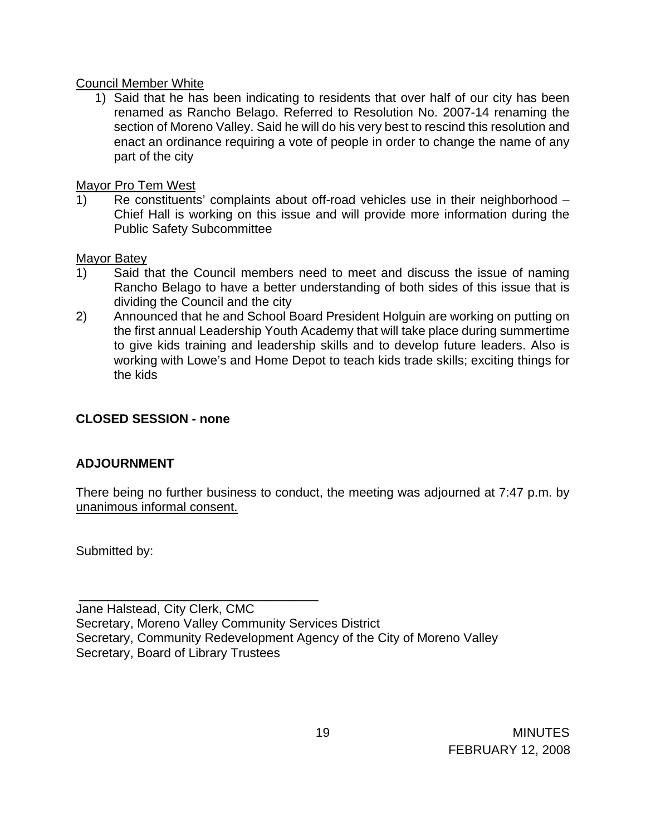### Council Member White

1) Said that he has been indicating to residents that over half of our city has been renamed as Rancho Belago. Referred to Resolution No. 2007-14 renaming the section of Moreno Valley. Said he will do his very best to rescind this resolution and enact an ordinance requiring a vote of people in order to change the name of any part of the city

Mayor Pro Tem West

1) Re constituents' complaints about off-road vehicles use in their neighborhood – Chief Hall is working on this issue and will provide more information during the Public Safety Subcommittee

Mayor Batey

- 1) Said that the Council members need to meet and discuss the issue of naming Rancho Belago to have a better understanding of both sides of this issue that is dividing the Council and the city
- 2) Announced that he and School Board President Holguin are working on putting on the first annual Leadership Youth Academy that will take place during summertime to give kids training and leadership skills and to develop future leaders. Also is working with Lowe's and Home Depot to teach kids trade skills; exciting things for the kids

# **CLOSED SESSION - none**

\_\_\_\_\_\_\_\_\_\_\_\_\_\_\_\_\_\_\_\_\_\_\_\_\_\_\_\_\_\_\_\_\_\_

# **ADJOURNMENT**

There being no further business to conduct, the meeting was adjourned at 7:47 p.m. by unanimous informal consent.

Submitted by:

Jane Halstead, City Clerk, CMC Secretary, Moreno Valley Community Services District Secretary, Community Redevelopment Agency of the City of Moreno Valley Secretary, Board of Library Trustees